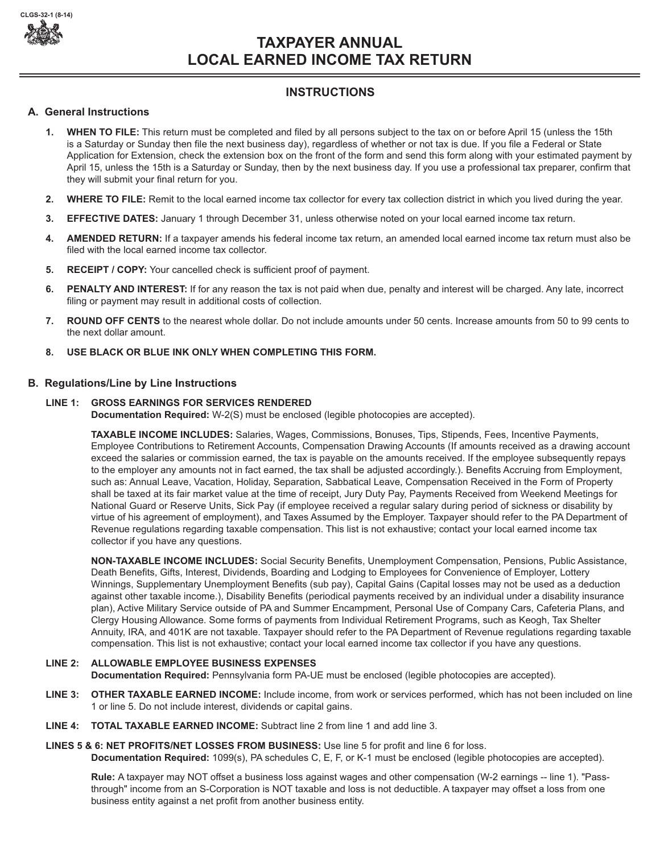

# **TAXPAYER ANNUAL LOCAL EARNED INCOME TAX RETURN**

## **INSTRUCTIONS**

## **A. General Instructions**

- **1. WHEN TO FILE:** This return must be completed and filed by all persons subject to the tax on or before April 15 (unless the 15th is a Saturday or Sunday then file the next business day), regardless of whether or not tax is due. If you file a Federal or State Application for Extension, check the extension box on the front of the form and send this form along with your estimated payment by April 15, unless the 15th is a Saturday or Sunday, then by the next business day. If you use a professional tax preparer, confirm that they will submit your final return for you.
- **2. WHERE TO FILE:** Remit to the local earned income tax collector for every tax collection district in which you lived during the year.
- **3. EFFECTIVE DATES:** January 1 through December 31, unless otherwise noted on your local earned income tax return.
- **4. AMENDED RETURN:** If a taxpayer amends his federal income tax return, an amended local earned income tax return must also be filed with the local earned income tax collector.
- **5. RECEIPT / COPY:** Your cancelled check is sufficient proof of payment.
- **6. PENALTY AND INTEREST:** If for any reason the tax is not paid when due, penalty and interest will be charged. Any late, incorrect filing or payment may result in additional costs of collection.
- **7. ROUND OFF CENTS** to the nearest whole dollar. Do not include amounts under 50 cents. Increase amounts from 50 to 99 cents to the next dollar amount.
- **8. USE BLACK OR BLUE INK ONLY WHEN COMPLETING THIS FORM.**

## **B. Regulations/Line by Line Instructions**

## **LINE 1: GROSS EARNINGS FOR SERVICES RENDERED**

**Documentation Required:** W-2(S) must be enclosed (legible photocopies are accepted).

**TAXABLE INCOME INCLUDES:** Salaries, Wages, Commissions, Bonuses, Tips, Stipends, Fees, Incentive Payments, Employee Contributions to Retirement Accounts, Compensation Drawing Accounts (If amounts received as a drawing account exceed the salaries or commission earned, the tax is payable on the amounts received. If the employee subsequently repays to the employer any amounts not in fact earned, the tax shall be adjusted accordingly.). Benefits Accruing from Employment, such as: Annual Leave, Vacation, Holiday, Separation, Sabbatical Leave, Compensation Received in the Form of Property shall be taxed at its fair market value at the time of receipt, Jury Duty Pay, Payments Received from Weekend Meetings for National Guard or Reserve Units, Sick Pay (if employee received a regular salary during period of sickness or disability by virtue of his agreement of employment), and Taxes Assumed by the Employer. Taxpayer should refer to the PA Department of Revenue regulations regarding taxable compensation. This list is not exhaustive; contact your local earned income tax collector if you have any questions.

**NON-TAXABLE INCOME INCLUDES:** Social Security Benefits, Unemployment Compensation, Pensions, Public Assistance, Death Benefits, Gifts, Interest, Dividends, Boarding and Lodging to Employees for Convenience of Employer, Lottery Winnings, Supplementary Unemployment Benefits (sub pay), Capital Gains (Capital losses may not be used as a deduction against other taxable income.), Disability Benefits (periodical payments received by an individual under a disability insurance plan), Active Military Service outside of PA and Summer Encampment, Personal Use of Company Cars, Cafeteria Plans, and Clergy Housing Allowance. Some forms of payments from Individual Retirement Programs, such as Keogh, Tax Shelter Annuity, IRA, and 401K are not taxable. Taxpayer should refer to the PA Department of Revenue regulations regarding taxable compensation. This list is not exhaustive; contact your local earned income tax collector if you have any questions.

## **LINE 2: ALLOWABLE EMPLOYEE BUSINESS EXPENSES**

**Documentation Required:** Pennsylvania form PA-UE must be enclosed (legible photocopies are accepted).

- **LINE 3: OTHER TAXABLE EARNED INCOME:** Include income, from work or services performed, which has not been included on line 1 or line 5. Do not include interest, dividends or capital gains.
- **LINE 4: TOTAL TAXABLE EARNED INCOME:** Subtract line 2 from line 1 and add line 3.

## **LINES 5 & 6: NET PROFITS/NET LOSSES FROM BUSINESS:** Use line 5 for profit and line 6 for loss.

**Documentation Required:** 1099(s), PA schedules C, E, F, or K-1 must be enclosed (legible photocopies are accepted).

**Rule:** A taxpayer may NOT offset a business loss against wages and other compensation (W-2 earnings -- line 1). "Passthrough" income from an S-Corporation is NOT taxable and loss is not deductible. A taxpayer may offset a loss from one business entity against a net profit from another business entity.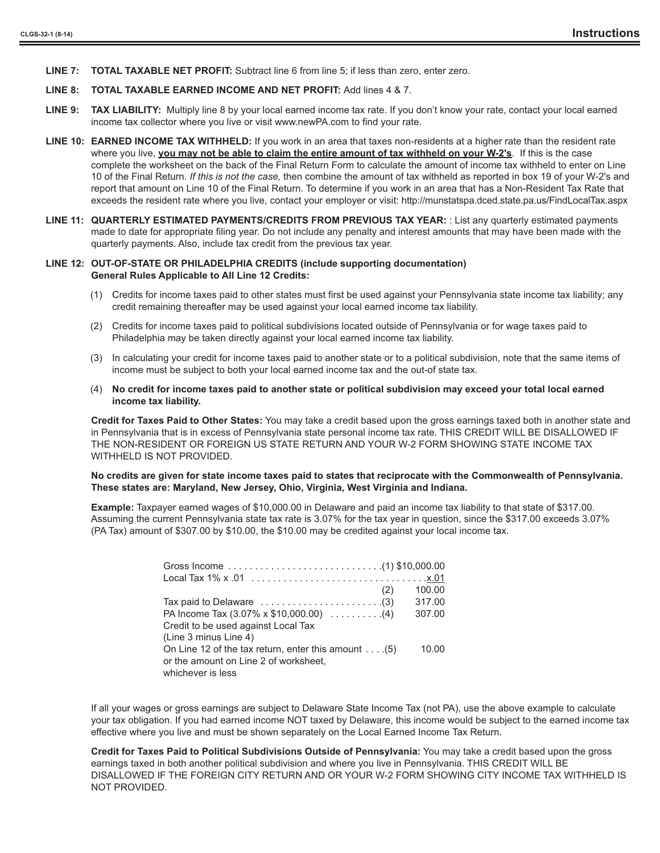**LINE 7: TOTAL TAXABLE NET PROFIT:** Subtract line 6 from line 5; if less than zero, enter zero.

#### **LINE 8: TOTAL TAXABLE EARNED INCOME AND NET PROFIT:** Add lines 4 & 7.

- **LINE 9: TAX LIABILITY:** Multiply line 8 by your local earned income tax rate. If you don't know your rate, contact your local earned income tax collector where you live or visit www.newPA.com to find your rate.
- **LINE 10: EARNED INCOME TAX WITHHELD:** If you work in an area that taxes non-residents at a higher rate than the resident rate where you live, you may not be able to claim the entire amount of tax withheld on your W-2's. If this is the case complete the worksheet on the back of the Final Return Form to calculate the amount of income tax withheld to enter on Line 10 of the Final Return. *If this is not the case,* then combine the amount of tax withheld as reported in box 19 of your W-2's and report that amount on Line 10 of the Final Return. To determine if you work in an area that has a Non-Resident Tax Rate that exceeds the resident rate where you live, contact your employer or visit: http://munstatspa.dced.state.pa.us/FindLocalTax.aspx
- **LINE 11: QUARTERLY ESTIMATED PAYMENTS/CREDITS FROM PREVIOUS TAX YEAR:** : List any quarterly estimated payments made to date for appropriate filing year. Do not include any penalty and interest amounts that may have been made with the quarterly payments. Also, include tax credit from the previous tax year.

#### **LINE 12: OUT-OF-STATE OR PHILADELPHIA CREDITS (include supporting documentation) General Rules Applicable to All Line 12 Credits:**

- (1) Credits for income taxes paid to other states must first be used against your Pennsylvania state income tax liability; any credit remaining thereafter may be used against your local earned income tax liability.
- (2) Credits for income taxes paid to political subdivisions located outside of Pennsylvania or for wage taxes paid to Philadelphia may be taken directly against your local earned income tax liability.
- (3) In calculating your credit for income taxes paid to another state or to a political subdivision, note that the same items of income must be subject to both your local earned income tax and the out-of state tax.
- (4) **No credit for income taxes paid to another state or political subdivision may exceed your total local earned income tax liability.**

**Credit for Taxes Paid to Other States:** You may take a credit based upon the gross earnings taxed both in another state and in Pennsylvania that is in excess of Pennsylvania state personal income tax rate. THIS CREDIT WILL BE DISALLOWED IF THE NON-RESIDENT OR FOREIGN US STATE RETURN AND YOUR W-2 FORM SHOWING STATE INCOME TAX WITHHELD IS NOT PROVIDED.

#### **No credits are given for state income taxes paid to states that reciprocate with the Commonwealth of Pennsylvania. These states are: Maryland, New Jersey, Ohio, Virginia, West Virginia and Indiana.**

**Example:** Taxpayer earned wages of \$10,000.00 in Delaware and paid an income tax liability to that state of \$317.00. Assuming the current Pennsylvania state tax rate is 3.07% for the tax year in question, since the \$317.00 exceeds 3.07% (PA Tax) amount of \$307.00 by \$10.00, the \$10.00 may be credited against your local income tax.

| (2)                                                                       | 100.00 |
|---------------------------------------------------------------------------|--------|
| Tax paid to Delaware $\ldots \ldots \ldots \ldots \ldots \ldots \ldots$ . | 317.00 |
| PA Income Tax $(3.07\% \times \$10,000.00)$ (4)                           | 307.00 |
| Credit to be used against Local Tax                                       |        |
| (Line 3 minus Line 4)                                                     |        |
| On Line 12 of the tax return, enter this amount $\dots$ . (5)             | 10.00  |
| or the amount on Line 2 of worksheet.                                     |        |
| whichever is less                                                         |        |

If all your wages or gross earnings are subject to Delaware State Income Tax (not PA), use the above example to calculate your tax obligation. If you had earned income NOT taxed by Delaware, this income would be subject to the earned income tax effective where you live and must be shown separately on the Local Earned Income Tax Return.

**Credit for Taxes Paid to Political Subdivisions Outside of Pennsylvania:** You may take a credit based upon the gross earnings taxed in both another political subdivision and where you live in Pennsylvania. THIS CREDIT WILL BE DISALLOWED IF THE FOREIGN CITY RETURN AND OR YOUR W-2 FORM SHOWING CITY INCOME TAX WITHHELD IS NOT PROVIDED.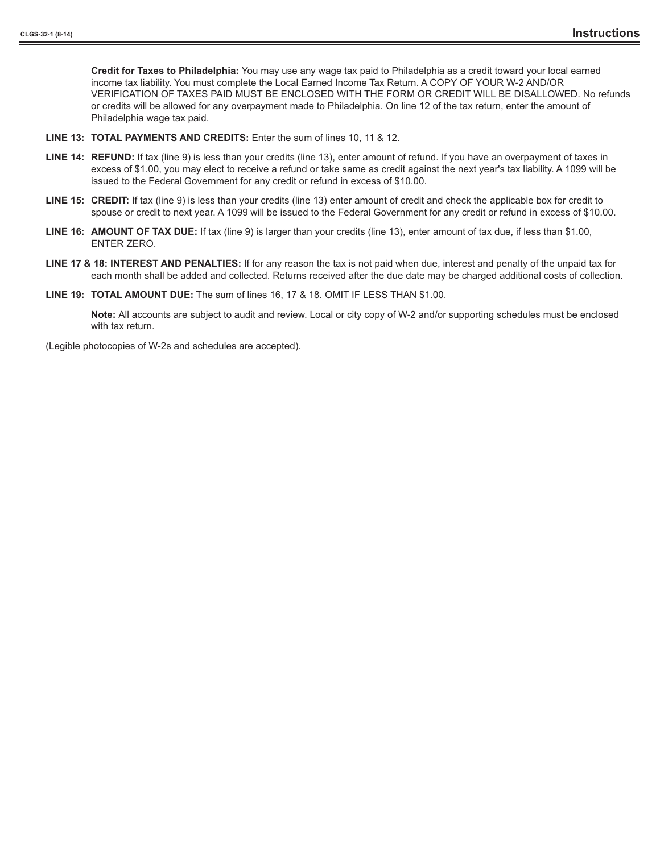**Credit for Taxes to Philadelphia:** You may use any wage tax paid to Philadelphia as a credit toward your local earned income tax liability. You must complete the Local Earned Income Tax Return. A COPY OF YOUR W-2 AND/OR VERIFICATION OF TAXES PAID MUST BE ENCLOSED WITH THE FORM OR CREDIT WILL BE DISALLOWED. No refunds or credits will be allowed for any overpayment made to Philadelphia. On line 12 of the tax return, enter the amount of Philadelphia wage tax paid.

- **LINE 13: TOTAL PAYMENTS AND CREDITS:** Enter the sum of lines 10, 11 & 12.
- **LINE 14: REFUND:** If tax (line 9) is less than your credits (line 13), enter amount of refund. If you have an overpayment of taxes in excess of \$1.00, you may elect to receive a refund or take same as credit against the next year's tax liability. A 1099 will be issued to the Federal Government for any credit or refund in excess of \$10.00.
- **LINE 15: CREDIT:** If tax (line 9) is less than your credits (line 13) enter amount of credit and check the applicable box for credit to spouse or credit to next year. A 1099 will be issued to the Federal Government for any credit or refund in excess of \$10.00.
- **LINE 16: AMOUNT OF TAX DUE:** If tax (line 9) is larger than your credits (line 13), enter amount of tax due, if less than \$1.00, ENTER ZERO.
- **LINE 17 & 18: INTEREST AND PENALTIES:** If for any reason the tax is not paid when due, interest and penalty of the unpaid tax for each month shall be added and collected. Returns received after the due date may be charged additional costs of collection.
- **LINE 19: TOTAL AMOUNT DUE:** The sum of lines 16, 17 & 18. OMIT IF LESS THAN \$1.00.

**Note:** All accounts are subject to audit and review. Local or city copy of W-2 and/or supporting schedules must be enclosed with tax return.

(Legible photocopies of W-2s and schedules are accepted).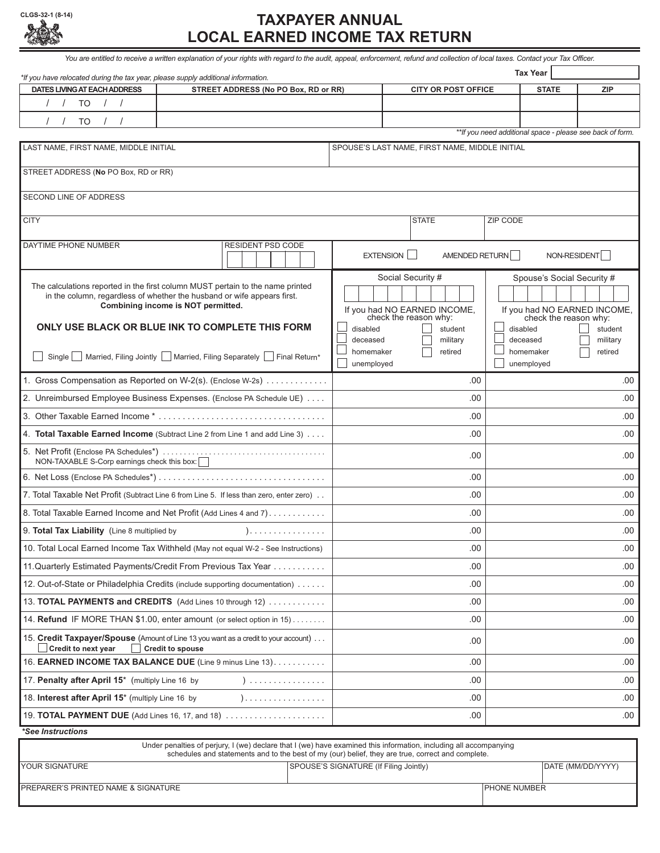|      |                    | CLGS-32-1 (8-14) |
|------|--------------------|------------------|
| 883. | $\sum_{i=1}^n x_i$ |                  |

**CLGS-32-1 (8-14) TAXPAYER ANNUAL LOCAL EARNED INCOME TAX RETURN**  You are entitled to receive a written explanation of your rights with regard to the audit, appeal, enforcement, refund and collection of local taxes. Contact your Tax Officer. *\*If you have relocated during the tax year, please supply additional information.* **Tax Year**DATES LIVING AT EACH ADDRESS STREET ADDRESS (No PO Box, RD or RR) CITY OR POST OFFICE | STATE | ZIP / / TO / / / / TO / / *\*\*If you need additional space - please see back of form.* LAST NAME, FIRST NAME, MIDDLE INITIAL SPOUSE'S LAST NAME, FIRST NAME, MIDDLE INITIAL STREET ADDRESS (**No** PO Box, RD or RR) SECOND LINE OF ADDRESS CITY STATE ZIP CODE DAYTIME PHONE NUMBER RESIDENT PSD CODE EXTENSION AMENDED RETURN NON-RESIDENT Social Security # Spouse's Social Security # The calculations reported in the first column MUST pertain to the name printed in the column, regardless of whether the husband or wife appears first. **Combining income is NOT permitted.** If you had NO EARNED INCOME,<br>check the reason why: If you had NO
EARNED INCOME,<br>check the reason why: **ONLY USE BLACK OR BLUE INK TO COMPLETE THIS FORM** disabled student disabled student deceased military deceased military homemaker retired homemaker retired ■ Single Married, Filing Jointly Married, Filing Separately Final Return\* unemployed unemployed  $\Box$ 1. Gross Compensation as Reported on W-2(s). (Enclose W-2s) . . . . . . . . . . . . . .00 .00 2. Unreimbursed Employee Business Expenses. (Enclose PA Schedule UE) . . . . .00 .00 3. Other Taxable Earned Income \* . . . . . . . . . . . . . . . . . . . . . . . . . . . . . . . . . . . .00 .00 4. **Total Taxable Earned Income** (Subtract Line 2 from Line 1 and add Line 3) . . . . .00 .00 5. Net Profit (Enclose PA Schedules\*) . . . . . . . . . . . . . . . . . . . . . . . . . . . . . . . . . . . . . . . .00 .00 NON-TAXABLE S-Corp earnings check this box: □ 6. Net Loss (Enclose PA Schedules\*) . . . . . . . . . . . . . . . . . . . . . . . . . . . . . . . . . . . .00 .00 7. Total Taxable Net Profit (Subtract Line 6 from Line 5.  If less than zero, enter zero) . . .00 .00 8. Total Taxable Earned Income and Net Profit (Add Lines 4 and 7) . . . . . . . . . . . . .00 .00 9. **Total Tax Liability** (Line 8 multiplied by ) . . . . . . . . . . . . . . . . .00 .00 10. Total Local Earned Income Tax Withheld (May not equal W-2 - See Instructions) .00 .00 11.Quarterly Estimated Payments/Credit From Previous Tax Year . . . . . . . . . . . .00 .00 12. Out-of-State or Philadelphia Credits (include supporting documentation) . . . . . . .00 .00 13. **TOTAL PAYMENTS and CREDITS** (Add Lines 10 through 12) . . . . . . . . . . . . .00 .00 14. **Refund** IF MORE THAN \$1.00, enter amount (or select option in 15) . . . . . . . . .00 .00 15. **Credit Taxpayer/Spouse** (Amount of Line 13 you want as a credit to your account) . . . .00 .00 Credit to next year **Credit to spouse** 

*\*See Instructions* 18. **Interest after April 15**\* (multiply Line 16 by ) . . . . . . . . . . . . . . . . . .00 .00 19. **TOTAL PAYMENT DUE** (Add Lines 16, 17, and 18) . . . . . . . . . . . . . . . . . . . . . .00 .00 Under penalties of perjury, I (we) declare that I (we) have examined this information, including all accompanying schedules and statements and to the best of my (our) belief, they are true, correct and complete. YOUR SIGNATURE THE SPOUSE'S SIGNATURE (If Filing Jointly) And SPOUSE'S SIGNATURE (If Filing Jointly) DATE (MM/DD/YYYY) PREPARER'S PRINTED NAME & SIGNATURE PHONE NUMBER

16. **EARNED INCOME TAX BALANCE DUE** (Line 9 minus Line 13). . . . . . . . . . . .00 .00 17. **Penalty after April 15**\* (multiply Line 16 by ) . . . . . . . . . . . . . . . . .00 .00